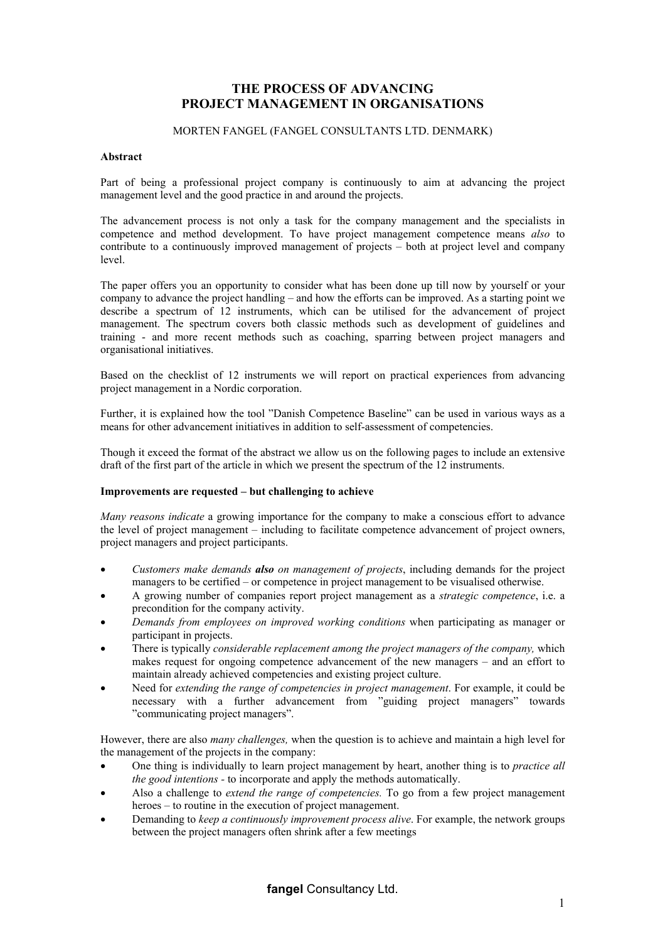## **THE PROCESS OF ADVANCING PROJECT MANAGEMENT IN ORGANISATIONS**

## MORTEN FANGEL (FANGEL CONSULTANTS LTD. DENMARK)

#### **Abstract**

Part of being a professional project company is continuously to aim at advancing the project management level and the good practice in and around the projects.

The advancement process is not only a task for the company management and the specialists in competence and method development. To have project management competence means *also* to contribute to a continuously improved management of projects – both at project level and company level.

The paper offers you an opportunity to consider what has been done up till now by yourself or your company to advance the project handling – and how the efforts can be improved. As a starting point we describe a spectrum of 12 instruments, which can be utilised for the advancement of project management. The spectrum covers both classic methods such as development of guidelines and training - and more recent methods such as coaching, sparring between project managers and organisational initiatives.

Based on the checklist of 12 instruments we will report on practical experiences from advancing project management in a Nordic corporation.

Further, it is explained how the tool "Danish Competence Baseline" can be used in various ways as a means for other advancement initiatives in addition to self-assessment of competencies.

Though it exceed the format of the abstract we allow us on the following pages to include an extensive draft of the first part of the article in which we present the spectrum of the 12 instruments.

#### **Improvements are requested – but challenging to achieve**

*Many reasons indicate* a growing importance for the company to make a conscious effort to advance the level of project management *–* including to facilitate competence advancement of project owners, project managers and project participants.

- *Customers make demands also on management of projects*, including demands for the project managers to be certified – or competence in project management to be visualised otherwise.
- A growing number of companies report project management as a *strategic competence*, i.e. a precondition for the company activity.
- *Demands from employees on improved working conditions* when participating as manager or participant in projects.
- There is typically *considerable replacement among the project managers of the company,* which makes request for ongoing competence advancement of the new managers – and an effort to maintain already achieved competencies and existing project culture.
- Need for *extending the range of competencies in project management*. For example, it could be necessary with a further advancement from "guiding project managers" towards "communicating project managers".

However, there are also *many challenges,* when the question is to achieve and maintain a high level for the management of the projects in the company:

- One thing is individually to learn project management by heart, another thing is to *practice all the good intentions -* to incorporate and apply the methods automatically.
- Also a challenge to *extend the range of competencies.* To go from a few project management heroes – to routine in the execution of project management.
- Demanding to *keep a continuously improvement process alive*. For example, the network groups between the project managers often shrink after a few meetings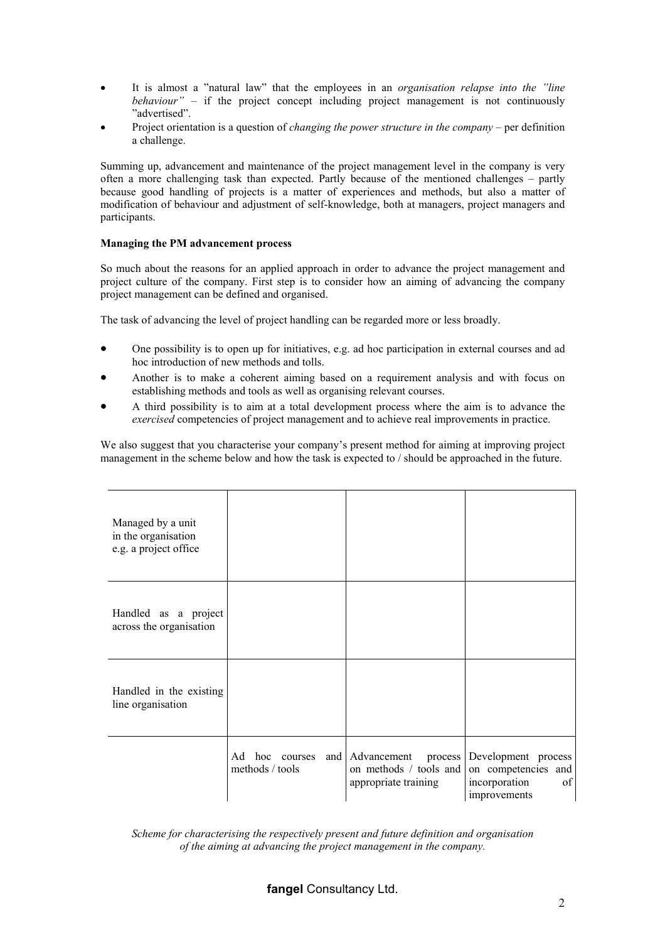- It is almost a "natural law" that the employees in an *organisation relapse into the "line behaviour"* – if the project concept including project management is not continuously "advertised".
- Project orientation is a question of *changing the power structure in the company –* per definition a challenge.

Summing up, advancement and maintenance of the project management level in the company is very often a more challenging task than expected. Partly because of the mentioned challenges – partly because good handling of projects is a matter of experiences and methods, but also a matter of modification of behaviour and adjustment of self-knowledge, both at managers, project managers and participants.

## **Managing the PM advancement process**

So much about the reasons for an applied approach in order to advance the project management and project culture of the company. First step is to consider how an aiming of advancing the company project management can be defined and organised.

The task of advancing the level of project handling can be regarded more or less broadly.

- One possibility is to open up for initiatives, e.g. ad hoc participation in external courses and ad hoc introduction of new methods and tolls.
- Another is to make a coherent aiming based on a requirement analysis and with focus on establishing methods and tools as well as organising relevant courses.
- A third possibility is to aim at a total development process where the aim is to advance the *exercised* competencies of project management and to achieve real improvements in practice.

We also suggest that you characterise your company's present method for aiming at improving project management in the scheme below and how the task is expected to / should be approached in the future.

| Managed by a unit<br>in the organisation<br>e.g. a project office |                                         |                                                                              |                                                                                   |
|-------------------------------------------------------------------|-----------------------------------------|------------------------------------------------------------------------------|-----------------------------------------------------------------------------------|
| Handled as a project<br>across the organisation                   |                                         |                                                                              |                                                                                   |
| Handled in the existing<br>line organisation                      |                                         |                                                                              |                                                                                   |
|                                                                   | hoc<br>Ad<br>courses<br>methods / tools | and Advancement<br>process<br>on methods / tools and<br>appropriate training | Development process<br>on competencies and<br>incorporation<br>of<br>improvements |

*Scheme for characterising the respectively present and future definition and organisation of the aiming at advancing the project management in the company.*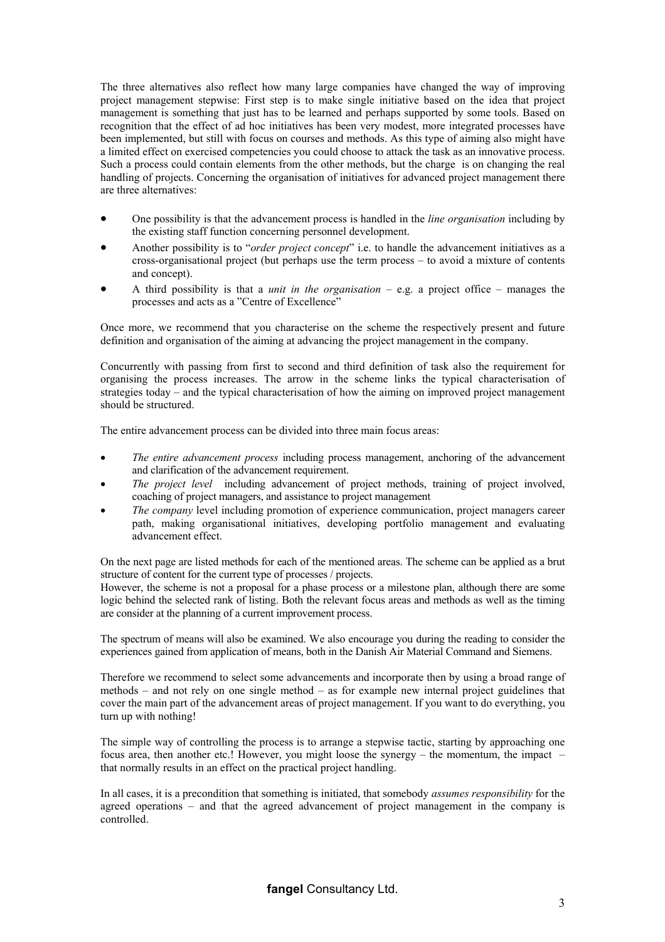The three alternatives also reflect how many large companies have changed the way of improving project management stepwise: First step is to make single initiative based on the idea that project management is something that just has to be learned and perhaps supported by some tools. Based on recognition that the effect of ad hoc initiatives has been very modest, more integrated processes have been implemented, but still with focus on courses and methods. As this type of aiming also might have a limited effect on exercised competencies you could choose to attack the task as an innovative process. Such a process could contain elements from the other methods, but the charge is on changing the real handling of projects. Concerning the organisation of initiatives for advanced project management there are three alternatives:

- One possibility is that the advancement process is handled in the *line organisation* including by the existing staff function concerning personnel development.
- Another possibility is to "*order project concept*" i.e. to handle the advancement initiatives as a cross-organisational project (but perhaps use the term process – to avoid a mixture of contents and concept).
- A third possibility is that a *unit in the organisation* – e.g. a project office – manages the processes and acts as a "Centre of Excellence"

Once more, we recommend that you characterise on the scheme the respectively present and future definition and organisation of the aiming at advancing the project management in the company.

Concurrently with passing from first to second and third definition of task also the requirement for organising the process increases. The arrow in the scheme links the typical characterisation of strategies today – and the typical characterisation of how the aiming on improved project management should be structured.

The entire advancement process can be divided into three main focus areas:

- *The entire advancement process* including process management, anchoring of the advancement and clarification of the advancement requirement.
- *The project level* including advancement of project methods, training of project involved, coaching of project managers, and assistance to project management
- *The company* level including promotion of experience communication, project managers career path, making organisational initiatives, developing portfolio management and evaluating advancement effect.

On the next page are listed methods for each of the mentioned areas. The scheme can be applied as a brut structure of content for the current type of processes / projects.

However, the scheme is not a proposal for a phase process or a milestone plan, although there are some logic behind the selected rank of listing. Both the relevant focus areas and methods as well as the timing are consider at the planning of a current improvement process.

The spectrum of means will also be examined. We also encourage you during the reading to consider the experiences gained from application of means, both in the Danish Air Material Command and Siemens.

Therefore we recommend to select some advancements and incorporate then by using a broad range of methods – and not rely on one single method – as for example new internal project guidelines that cover the main part of the advancement areas of project management. If you want to do everything, you turn up with nothing!

The simple way of controlling the process is to arrange a stepwise tactic, starting by approaching one focus area, then another etc.! However, you might loose the synergy – the momentum, the impact – that normally results in an effect on the practical project handling.

In all cases, it is a precondition that something is initiated, that somebody *assumes responsibility* for the agreed operations – and that the agreed advancement of project management in the company is controlled.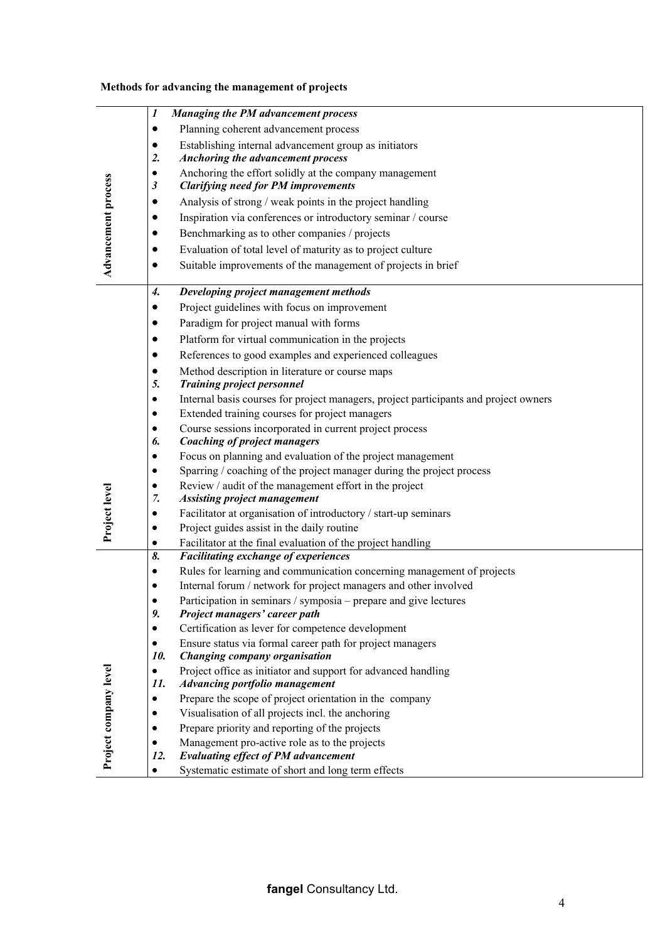# **Methods for advancing the management of projects**

|                       | 1                | Managing the PM advancement process                                                                                             |  |  |
|-----------------------|------------------|---------------------------------------------------------------------------------------------------------------------------------|--|--|
| Advancement process   |                  | Planning coherent advancement process                                                                                           |  |  |
|                       |                  | Establishing internal advancement group as initiators                                                                           |  |  |
|                       | $\overline{2}$ . | Anchoring the advancement process                                                                                               |  |  |
|                       | $\bullet$        | Anchoring the effort solidly at the company management                                                                          |  |  |
|                       | 3                | <b>Clarifying need for PM improvements</b>                                                                                      |  |  |
|                       |                  | Analysis of strong / weak points in the project handling                                                                        |  |  |
|                       |                  | Inspiration via conferences or introductory seminar / course                                                                    |  |  |
|                       |                  | Benchmarking as to other companies / projects                                                                                   |  |  |
|                       |                  | Evaluation of total level of maturity as to project culture                                                                     |  |  |
|                       |                  | Suitable improvements of the management of projects in brief                                                                    |  |  |
|                       | 4.               | Developing project management methods                                                                                           |  |  |
|                       | $\bullet$        | Project guidelines with focus on improvement                                                                                    |  |  |
|                       |                  | Paradigm for project manual with forms                                                                                          |  |  |
|                       |                  | Platform for virtual communication in the projects                                                                              |  |  |
|                       | $\bullet$        | References to good examples and experienced colleagues                                                                          |  |  |
|                       | $\bullet$        | Method description in literature or course maps                                                                                 |  |  |
|                       | 5.               | <b>Training project personnel</b>                                                                                               |  |  |
|                       | ٠                | Internal basis courses for project managers, project participants and project owners                                            |  |  |
|                       | ٠                | Extended training courses for project managers                                                                                  |  |  |
|                       | ٠                | Course sessions incorporated in current project process                                                                         |  |  |
|                       | 6.               | <b>Coaching of project managers</b>                                                                                             |  |  |
|                       | ٠                | Focus on planning and evaluation of the project management                                                                      |  |  |
|                       |                  | Sparring / coaching of the project manager during the project process<br>Review / audit of the management effort in the project |  |  |
| Project level         | ٠<br>7.          | <b>Assisting project management</b>                                                                                             |  |  |
|                       |                  | Facilitator at organisation of introductory / start-up seminars                                                                 |  |  |
|                       | ٠                | Project guides assist in the daily routine                                                                                      |  |  |
|                       | $\bullet$        | Facilitator at the final evaluation of the project handling                                                                     |  |  |
|                       | 8.               | <b>Facilitating exchange of experiences</b>                                                                                     |  |  |
|                       | ٠                | Rules for learning and communication concerning management of projects                                                          |  |  |
|                       |                  | Internal forum / network for project managers and other involved                                                                |  |  |
|                       |                  | Participation in seminars / symposia - prepare and give lectures                                                                |  |  |
|                       | 9.               | Project managers' career path                                                                                                   |  |  |
|                       | ٠                | Certification as lever for competence development                                                                               |  |  |
|                       | $\bullet$        | Ensure status via formal career path for project managers                                                                       |  |  |
|                       | 10.              | Changing company organisation                                                                                                   |  |  |
|                       | $\bullet$<br>11. | Project office as initiator and support for advanced handling<br>Advancing portfolio management                                 |  |  |
| Project company level | ٠                | Prepare the scope of project orientation in the company                                                                         |  |  |
|                       | ٠                | Visualisation of all projects incl. the anchoring                                                                               |  |  |
|                       |                  | Prepare priority and reporting of the projects                                                                                  |  |  |
|                       | ٠                | Management pro-active role as to the projects                                                                                   |  |  |
|                       | 12.              | <b>Evaluating effect of PM advancement</b>                                                                                      |  |  |
|                       | ٠                | Systematic estimate of short and long term effects                                                                              |  |  |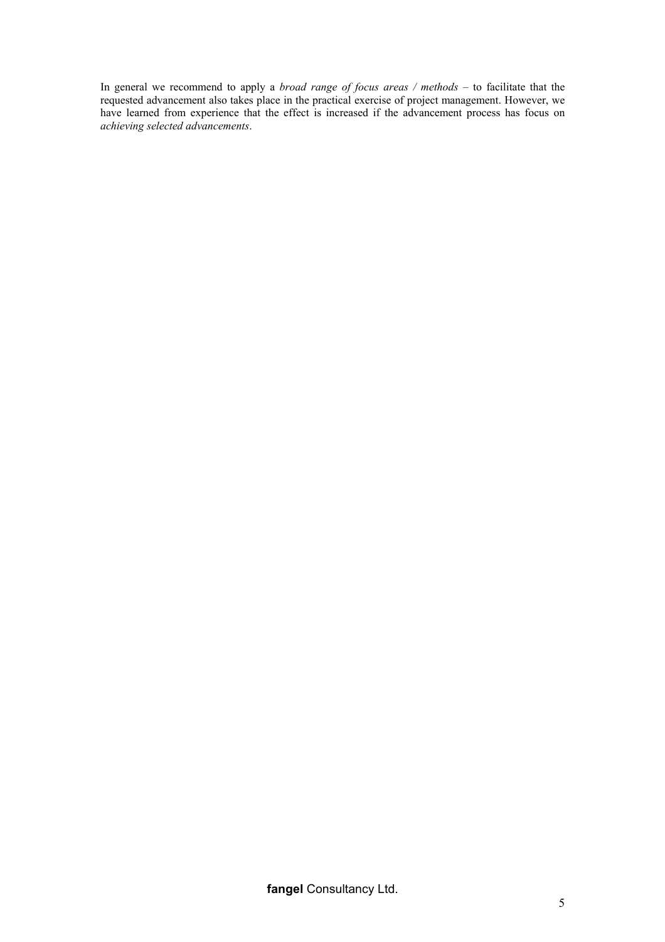In general we recommend to apply a *broad range of focus areas / methods* – to facilitate that the requested advancement also takes place in the practical exercise of project management. However, we have learned from experience that the effect is increased if the advancement process has focus on *achieving selected advancements*.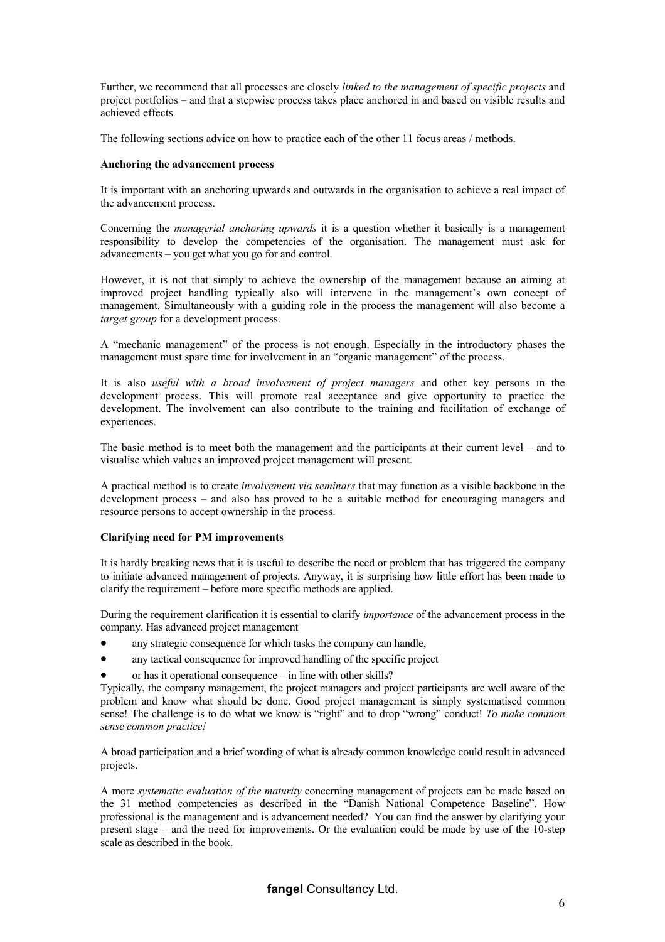Further, we recommend that all processes are closely *linked to the management of specific projects* and project portfolios – and that a stepwise process takes place anchored in and based on visible results and achieved effects

The following sections advice on how to practice each of the other 11 focus areas / methods.

#### **Anchoring the advancement process**

It is important with an anchoring upwards and outwards in the organisation to achieve a real impact of the advancement process.

Concerning the *managerial anchoring upwards* it is a question whether it basically is a management responsibility to develop the competencies of the organisation. The management must ask for advancements – you get what you go for and control.

However, it is not that simply to achieve the ownership of the management because an aiming at improved project handling typically also will intervene in the management's own concept of management. Simultaneously with a guiding role in the process the management will also become a *target group* for a development process.

A "mechanic management" of the process is not enough. Especially in the introductory phases the management must spare time for involvement in an "organic management" of the process.

It is also *useful with a broad involvement of project managers* and other key persons in the development process. This will promote real acceptance and give opportunity to practice the development. The involvement can also contribute to the training and facilitation of exchange of experiences.

The basic method is to meet both the management and the participants at their current level – and to visualise which values an improved project management will present.

A practical method is to create *involvement via seminars* that may function as a visible backbone in the development process – and also has proved to be a suitable method for encouraging managers and resource persons to accept ownership in the process.

#### **Clarifying need for PM improvements**

It is hardly breaking news that it is useful to describe the need or problem that has triggered the company to initiate advanced management of projects. Anyway, it is surprising how little effort has been made to clarify the requirement – before more specific methods are applied.

During the requirement clarification it is essential to clarify *importance* of the advancement process in the company. Has advanced project management

- any strategic consequence for which tasks the company can handle,
- any tactical consequence for improved handling of the specific project
- or has it operational consequence – in line with other skills?

Typically, the company management, the project managers and project participants are well aware of the problem and know what should be done. Good project management is simply systematised common sense! The challenge is to do what we know is "right" and to drop "wrong" conduct! *To make common sense common practice!*

A broad participation and a brief wording of what is already common knowledge could result in advanced projects.

A more *systematic evaluation of the maturity* concerning management of projects can be made based on the 31 method competencies as described in the "Danish National Competence Baseline". How professional is the management and is advancement needed? You can find the answer by clarifying your present stage – and the need for improvements. Or the evaluation could be made by use of the 10-step scale as described in the book.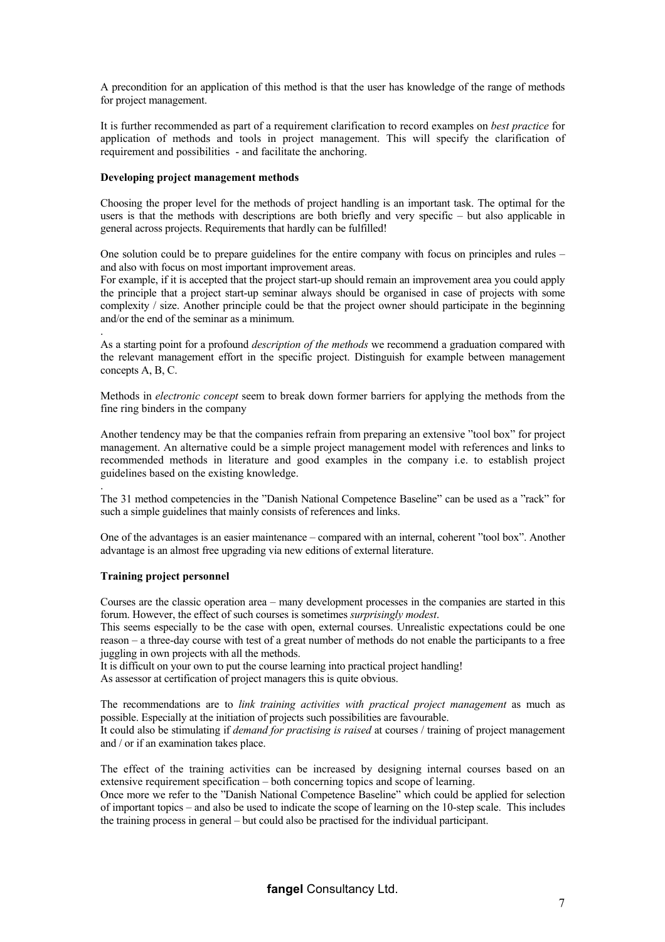A precondition for an application of this method is that the user has knowledge of the range of methods for project management.

It is further recommended as part of a requirement clarification to record examples on *best practice* for application of methods and tools in project management. This will specify the clarification of requirement and possibilities - and facilitate the anchoring.

## **Developing project management methods**

Choosing the proper level for the methods of project handling is an important task. The optimal for the users is that the methods with descriptions are both briefly and very specific – but also applicable in general across projects. Requirements that hardly can be fulfilled!

One solution could be to prepare guidelines for the entire company with focus on principles and rules – and also with focus on most important improvement areas.

For example, if it is accepted that the project start-up should remain an improvement area you could apply the principle that a project start-up seminar always should be organised in case of projects with some complexity / size. Another principle could be that the project owner should participate in the beginning and/or the end of the seminar as a minimum.

As a starting point for a profound *description of the methods* we recommend a graduation compared with the relevant management effort in the specific project. Distinguish for example between management concepts A, B, C.

Methods in *electronic concept* seem to break down former barriers for applying the methods from the fine ring binders in the company

Another tendency may be that the companies refrain from preparing an extensive "tool box" for project management. An alternative could be a simple project management model with references and links to recommended methods in literature and good examples in the company i.e. to establish project guidelines based on the existing knowledge.

The 31 method competencies in the "Danish National Competence Baseline" can be used as a "rack" for such a simple guidelines that mainly consists of references and links.

One of the advantages is an easier maintenance – compared with an internal, coherent "tool box". Another advantage is an almost free upgrading via new editions of external literature.

#### **Training project personnel**

.

.

Courses are the classic operation area – many development processes in the companies are started in this forum. However, the effect of such courses is sometimes *surprisingly modest*.

This seems especially to be the case with open, external courses. Unrealistic expectations could be one reason – a three-day course with test of a great number of methods do not enable the participants to a free juggling in own projects with all the methods.

It is difficult on your own to put the course learning into practical project handling!

As assessor at certification of project managers this is quite obvious.

The recommendations are to *link training activities with practical project management* as much as possible. Especially at the initiation of projects such possibilities are favourable.

It could also be stimulating if *demand for practising is raised* at courses / training of project management and / or if an examination takes place.

The effect of the training activities can be increased by designing internal courses based on an extensive requirement specification – both concerning topics and scope of learning.

Once more we refer to the "Danish National Competence Baseline" which could be applied for selection of important topics – and also be used to indicate the scope of learning on the 10-step scale. This includes the training process in general – but could also be practised for the individual participant.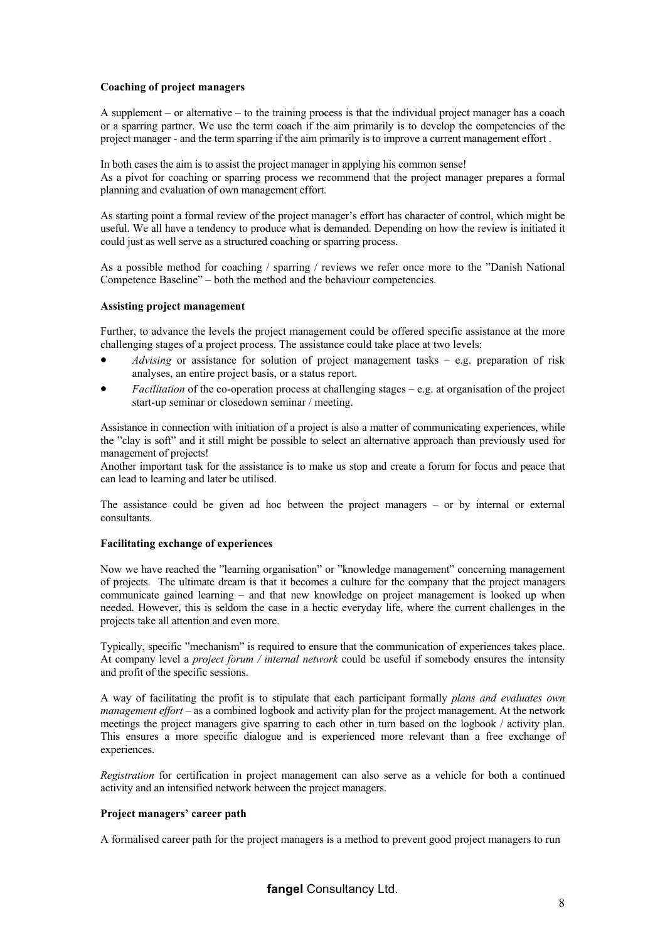## **Coaching of project managers**

A supplement – or alternative – to the training process is that the individual project manager has a coach or a sparring partner. We use the term coach if the aim primarily is to develop the competencies of the project manager - and the term sparring if the aim primarily is to improve a current management effort .

In both cases the aim is to assist the project manager in applying his common sense! As a pivot for coaching or sparring process we recommend that the project manager prepares a formal planning and evaluation of own management effort.

As starting point a formal review of the project manager's effort has character of control, which might be useful. We all have a tendency to produce what is demanded. Depending on how the review is initiated it could just as well serve as a structured coaching or sparring process.

As a possible method for coaching / sparring / reviews we refer once more to the "Danish National Competence Baseline" – both the method and the behaviour competencies.

#### **Assisting project management**

Further, to advance the levels the project management could be offered specific assistance at the more challenging stages of a project process. The assistance could take place at two levels:

- *Advising* or assistance for solution of project management tasks – e.g. preparation of risk analyses, an entire project basis, or a status report.
- *Facilitation* of the co-operation process at challenging stages  $-e.g.$  at organisation of the project start-up seminar or closedown seminar / meeting.

Assistance in connection with initiation of a project is also a matter of communicating experiences, while the "clay is soft" and it still might be possible to select an alternative approach than previously used for management of projects!

Another important task for the assistance is to make us stop and create a forum for focus and peace that can lead to learning and later be utilised.

The assistance could be given ad hoc between the project managers – or by internal or external consultants.

## **Facilitating exchange of experiences**

Now we have reached the "learning organisation" or "knowledge management" concerning management of projects. The ultimate dream is that it becomes a culture for the company that the project managers communicate gained learning – and that new knowledge on project management is looked up when needed. However, this is seldom the case in a hectic everyday life, where the current challenges in the projects take all attention and even more.

Typically, specific "mechanism" is required to ensure that the communication of experiences takes place. At company level a *project forum / internal network* could be useful if somebody ensures the intensity and profit of the specific sessions.

A way of facilitating the profit is to stipulate that each participant formally *plans and evaluates own management effort* – as a combined logbook and activity plan for the project management. At the network meetings the project managers give sparring to each other in turn based on the logbook / activity plan. This ensures a more specific dialogue and is experienced more relevant than a free exchange of experiences.

*Registration* for certification in project management can also serve as a vehicle for both a continued activity and an intensified network between the project managers.

## **Project managers' career path**

A formalised career path for the project managers is a method to prevent good project managers to run